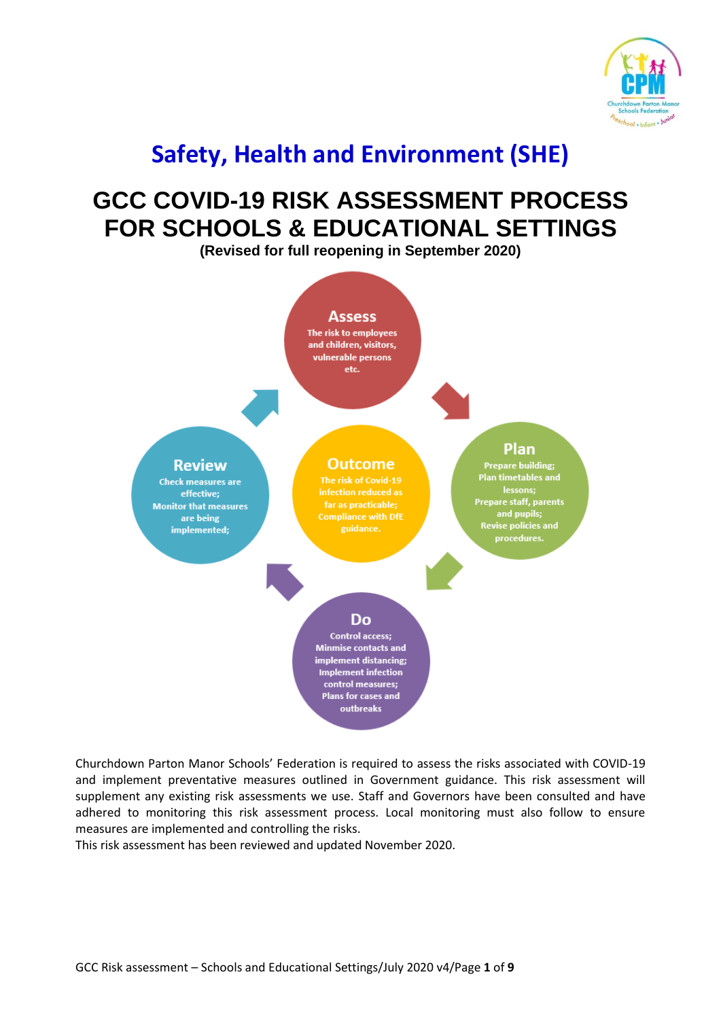

## **Safety, Health and Environment (SHE)**

## **GCC COVID-19 RISK ASSESSMENT PROCESS FOR SCHOOLS & EDUCATIONAL SETTINGS**

**(Revised for full reopening in September 2020)**



Churchdown Parton Manor Schools' Federation is required to assess the risks associated with COVID-19 and implement preventative measures outlined in Government guidance. This risk assessment will supplement any existing risk assessments we use. Staff and Governors have been consulted and have adhered to monitoring this risk assessment process. Local monitoring must also follow to ensure measures are implemented and controlling the risks.

This risk assessment has been reviewed and updated November 2020.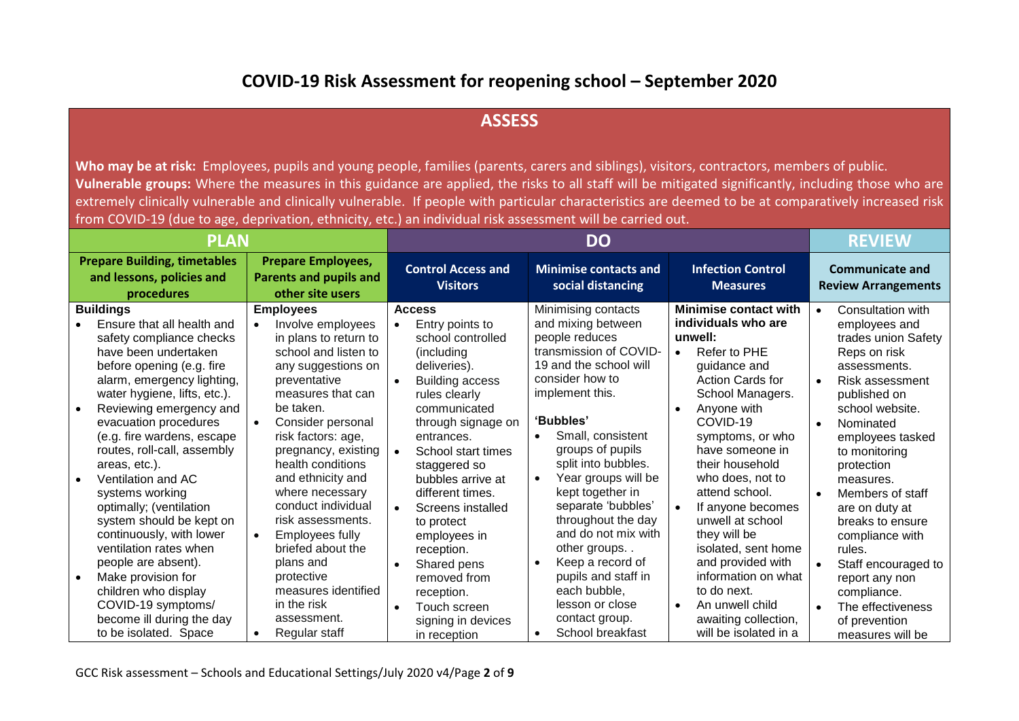## **COVID-19 Risk Assessment for reopening school – September 2020**

## **ASSESS**

Who may be at risk: Employees, pupils and young people, families (parents, carers and siblings), visitors, contractors, members of public. **Vulnerable groups:** Where the measures in this guidance are applied, the risks to all staff will be mitigated significantly, including those who are extremely clinically vulnerable and clinically vulnerable. If people with particular characteristics are deemed to be at comparatively increased risk from COVID-19 (due to age, deprivation, ethnicity, etc.) an individual risk assessment will be carried out.

| <b>PLAN</b>                                                                                                                                                                                                                                                                                                                                                                                                                                                                                                                                                                                                                            |                                                                                                                                                                                                                                                                                                                                                                                                                                                                                                             | <b>DO</b>                                                                                                                                                                                                                                                                                                                                                                                                                                                       |                                                                                                                                                                                                                                                                                                                                                                                                                                                                                                                |                                                                                                                                                                                                                                                                                                                                                                                                                                                                                                      | <b>REVIEW</b>                                                                                                                                                                                                                                                                                                                                                                                                                                                                                    |
|----------------------------------------------------------------------------------------------------------------------------------------------------------------------------------------------------------------------------------------------------------------------------------------------------------------------------------------------------------------------------------------------------------------------------------------------------------------------------------------------------------------------------------------------------------------------------------------------------------------------------------------|-------------------------------------------------------------------------------------------------------------------------------------------------------------------------------------------------------------------------------------------------------------------------------------------------------------------------------------------------------------------------------------------------------------------------------------------------------------------------------------------------------------|-----------------------------------------------------------------------------------------------------------------------------------------------------------------------------------------------------------------------------------------------------------------------------------------------------------------------------------------------------------------------------------------------------------------------------------------------------------------|----------------------------------------------------------------------------------------------------------------------------------------------------------------------------------------------------------------------------------------------------------------------------------------------------------------------------------------------------------------------------------------------------------------------------------------------------------------------------------------------------------------|------------------------------------------------------------------------------------------------------------------------------------------------------------------------------------------------------------------------------------------------------------------------------------------------------------------------------------------------------------------------------------------------------------------------------------------------------------------------------------------------------|--------------------------------------------------------------------------------------------------------------------------------------------------------------------------------------------------------------------------------------------------------------------------------------------------------------------------------------------------------------------------------------------------------------------------------------------------------------------------------------------------|
| <b>Prepare Building, timetables</b><br>and lessons, policies and<br>procedures                                                                                                                                                                                                                                                                                                                                                                                                                                                                                                                                                         | <b>Prepare Employees,</b><br><b>Parents and pupils and</b><br>other site users                                                                                                                                                                                                                                                                                                                                                                                                                              | <b>Control Access and</b><br><b>Visitors</b>                                                                                                                                                                                                                                                                                                                                                                                                                    | <b>Minimise contacts and</b><br>social distancing                                                                                                                                                                                                                                                                                                                                                                                                                                                              | <b>Infection Control</b><br><b>Measures</b>                                                                                                                                                                                                                                                                                                                                                                                                                                                          | <b>Communicate and</b><br><b>Review Arrangements</b>                                                                                                                                                                                                                                                                                                                                                                                                                                             |
| <b>Buildings</b><br>Ensure that all health and<br>safety compliance checks<br>have been undertaken<br>before opening (e.g. fire<br>alarm, emergency lighting,<br>water hygiene, lifts, etc.).<br>Reviewing emergency and<br>evacuation procedures<br>(e.g. fire wardens, escape<br>routes, roll-call, assembly<br>areas, etc.).<br>Ventilation and AC<br>systems working<br>optimally; (ventilation<br>system should be kept on<br>continuously, with lower<br>ventilation rates when<br>people are absent).<br>Make provision for<br>children who display<br>COVID-19 symptoms/<br>become ill during the day<br>to be isolated. Space | <b>Employees</b><br>Involve employees<br>$\bullet$<br>in plans to return to<br>school and listen to<br>any suggestions on<br>preventative<br>measures that can<br>be taken.<br>Consider personal<br>risk factors: age,<br>pregnancy, existing<br>health conditions<br>and ethnicity and<br>where necessary<br>conduct individual<br>risk assessments.<br>Employees fully<br>$\bullet$<br>briefed about the<br>plans and<br>protective<br>measures identified<br>in the risk<br>assessment.<br>Regular staff | <b>Access</b><br>Entry points to<br>$\bullet$<br>school controlled<br>(including<br>deliveries).<br><b>Building access</b><br>rules clearly<br>communicated<br>through signage on<br>entrances.<br>School start times<br>staggered so<br>bubbles arrive at<br>different times.<br>Screens installed<br>$\bullet$<br>to protect<br>employees in<br>reception.<br>Shared pens<br>removed from<br>reception.<br>Touch screen<br>signing in devices<br>in reception | Minimising contacts<br>and mixing between<br>people reduces<br>transmission of COVID-<br>19 and the school will<br>consider how to<br>implement this.<br>'Bubbles'<br>Small, consistent<br>$\bullet$<br>groups of pupils<br>split into bubbles.<br>Year groups will be<br>kept together in<br>separate 'bubbles'<br>throughout the day<br>and do not mix with<br>other groups<br>Keep a record of<br>$\bullet$<br>pupils and staff in<br>each bubble,<br>lesson or close<br>contact group.<br>School breakfast | <b>Minimise contact with</b><br>individuals who are<br>unwell:<br>Refer to PHE<br>$\bullet$<br>guidance and<br><b>Action Cards for</b><br>School Managers.<br>Anyone with<br>COVID-19<br>symptoms, or who<br>have someone in<br>their household<br>who does, not to<br>attend school.<br>If anyone becomes<br>unwell at school<br>they will be<br>isolated, sent home<br>and provided with<br>information on what<br>to do next.<br>An unwell child<br>awaiting collection,<br>will be isolated in a | Consultation with<br>$\bullet$<br>employees and<br>trades union Safety<br>Reps on risk<br>assessments.<br><b>Risk assessment</b><br>$\bullet$<br>published on<br>school website.<br>Nominated<br>$\bullet$<br>employees tasked<br>to monitoring<br>protection<br>measures.<br>Members of staff<br>are on duty at<br>breaks to ensure<br>compliance with<br>rules.<br>Staff encouraged to<br>report any non<br>compliance.<br>The effectiveness<br>$\bullet$<br>of prevention<br>measures will be |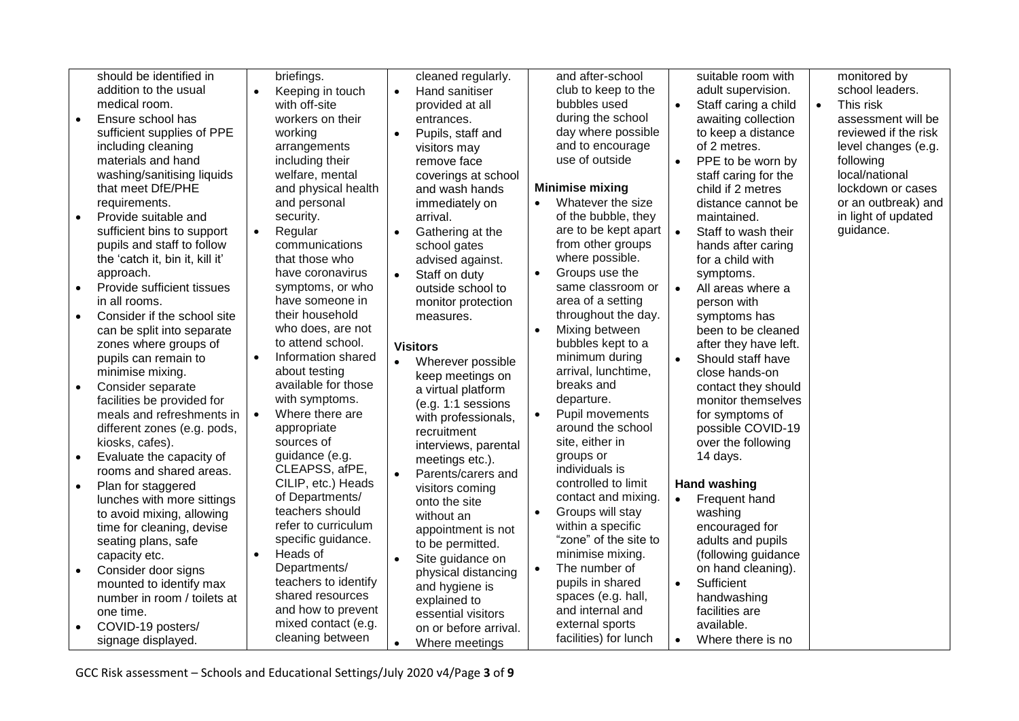|           | should be identified in         |           | briefings.                             |           | cleaned regularly.    |           | and after-school                           |           | suitable room with               |           | monitored by         |
|-----------|---------------------------------|-----------|----------------------------------------|-----------|-----------------------|-----------|--------------------------------------------|-----------|----------------------------------|-----------|----------------------|
|           | addition to the usual           |           | Keeping in touch                       |           | Hand sanitiser        |           | club to keep to the                        |           | adult supervision.               |           | school leaders.      |
|           | medical room.                   |           | with off-site                          |           | provided at all       |           | bubbles used                               |           | Staff caring a child             | $\bullet$ | This risk            |
| $\bullet$ | Ensure school has               |           | workers on their                       |           | entrances.            |           | during the school                          |           | awaiting collection              |           | assessment will be   |
|           | sufficient supplies of PPE      |           | working                                | $\bullet$ | Pupils, staff and     |           | day where possible                         |           | to keep a distance               |           | reviewed if the risk |
|           | including cleaning              |           | arrangements                           |           | visitors may          |           | and to encourage                           |           | of 2 metres.                     |           | level changes (e.g.  |
|           | materials and hand              |           | including their                        |           | remove face           |           | use of outside                             |           | PPE to be worn by                |           | following            |
|           | washing/sanitising liquids      |           | welfare, mental                        |           | coverings at school   |           |                                            |           | staff caring for the             |           | local/national       |
|           | that meet DfE/PHE               |           | and physical health                    |           | and wash hands        |           | <b>Minimise mixing</b>                     |           | child if 2 metres                |           | lockdown or cases    |
|           | requirements.                   |           | and personal                           |           | immediately on        |           | Whatever the size                          |           | distance cannot be               |           | or an outbreak) and  |
| $\bullet$ | Provide suitable and            |           | security.                              |           | arrival.              |           | of the bubble, they                        |           | maintained.                      |           | in light of updated  |
|           | sufficient bins to support      |           | Regular                                |           | Gathering at the      |           | are to be kept apart                       | $\bullet$ | Staff to wash their              |           | guidance.            |
|           | pupils and staff to follow      |           | communications                         |           | school gates          |           | from other groups                          |           | hands after caring               |           |                      |
|           | the 'catch it, bin it, kill it' |           | that those who                         |           | advised against.      |           | where possible.                            |           | for a child with                 |           |                      |
|           | approach.                       |           | have coronavirus                       |           | Staff on duty         | $\bullet$ | Groups use the                             |           | symptoms.                        |           |                      |
| $\bullet$ | Provide sufficient tissues      |           | symptoms, or who                       |           | outside school to     |           | same classroom or                          | $\bullet$ | All areas where a                |           |                      |
|           | in all rooms.                   |           | have someone in                        |           | monitor protection    |           | area of a setting                          |           | person with                      |           |                      |
| $\bullet$ | Consider if the school site     |           | their household                        |           | measures.             |           | throughout the day.                        |           | symptoms has                     |           |                      |
|           | can be split into separate      |           | who does, are not                      |           |                       |           | Mixing between                             |           | been to be cleaned               |           |                      |
|           | zones where groups of           |           | to attend school.                      |           | <b>Visitors</b>       |           | bubbles kept to a                          |           | after they have left.            |           |                      |
|           | pupils can remain to            | $\bullet$ | Information shared                     |           | Wherever possible     |           | minimum during                             | $\bullet$ | Should staff have                |           |                      |
|           | minimise mixing.                |           | about testing                          |           | keep meetings on      |           | arrival, lunchtime,                        |           | close hands-on                   |           |                      |
| $\bullet$ | Consider separate               |           | available for those                    |           | a virtual platform    |           | breaks and                                 |           | contact they should              |           |                      |
|           | facilities be provided for      |           | with symptoms.                         |           | $(e.g. 1:1$ sessions  |           | departure.                                 |           | monitor themselves               |           |                      |
|           | meals and refreshments in       | $\bullet$ | Where there are                        |           | with professionals,   |           | Pupil movements                            |           | for symptoms of                  |           |                      |
|           | different zones (e.g. pods,     |           | appropriate                            |           | recruitment           |           | around the school                          |           | possible COVID-19                |           |                      |
|           | kiosks, cafes).                 |           | sources of                             |           | interviews, parental  |           | site, either in                            |           | over the following               |           |                      |
| $\bullet$ | Evaluate the capacity of        |           | guidance (e.g.                         |           | meetings etc.).       |           | groups or                                  |           | 14 days.                         |           |                      |
|           | rooms and shared areas.         |           | CLEAPSS, afPE,                         | $\bullet$ | Parents/carers and    |           | individuals is                             |           |                                  |           |                      |
| $\bullet$ | Plan for staggered              |           | CILIP, etc.) Heads                     |           | visitors coming       |           | controlled to limit                        |           | <b>Hand washing</b>              |           |                      |
|           | lunches with more sittings      |           | of Departments/                        |           | onto the site         |           | contact and mixing.                        | $\bullet$ | Frequent hand                    |           |                      |
|           | to avoid mixing, allowing       |           | teachers should<br>refer to curriculum |           | without an            | $\bullet$ | Groups will stay                           |           | washing                          |           |                      |
|           | time for cleaning, devise       |           | specific guidance.                     |           | appointment is not    |           | within a specific<br>"zone" of the site to |           | encouraged for                   |           |                      |
|           | seating plans, safe             | $\bullet$ | Heads of                               |           | to be permitted.      |           | minimise mixing.                           |           | adults and pupils                |           |                      |
|           | capacity etc.                   |           | Departments/                           |           | Site guidance on      | $\bullet$ |                                            |           | (following guidance              |           |                      |
| $\bullet$ | Consider door signs             |           | teachers to identify                   |           | physical distancing   |           | The number of<br>pupils in shared          |           | on hand cleaning).<br>Sufficient |           |                      |
|           | mounted to identify max         |           | shared resources                       |           | and hygiene is        |           | spaces (e.g. hall,                         | $\bullet$ |                                  |           |                      |
|           | number in room / toilets at     |           | and how to prevent                     |           | explained to          |           | and internal and                           |           | handwashing<br>facilities are    |           |                      |
|           | one time.                       |           | mixed contact (e.g.                    |           | essential visitors    |           | external sports                            |           | available.                       |           |                      |
| $\bullet$ | COVID-19 posters/               |           | cleaning between                       |           | on or before arrival. |           | facilities) for lunch                      |           |                                  |           |                      |
|           | signage displayed.              |           |                                        | $\bullet$ | Where meetings        |           |                                            | $\bullet$ | Where there is no                |           |                      |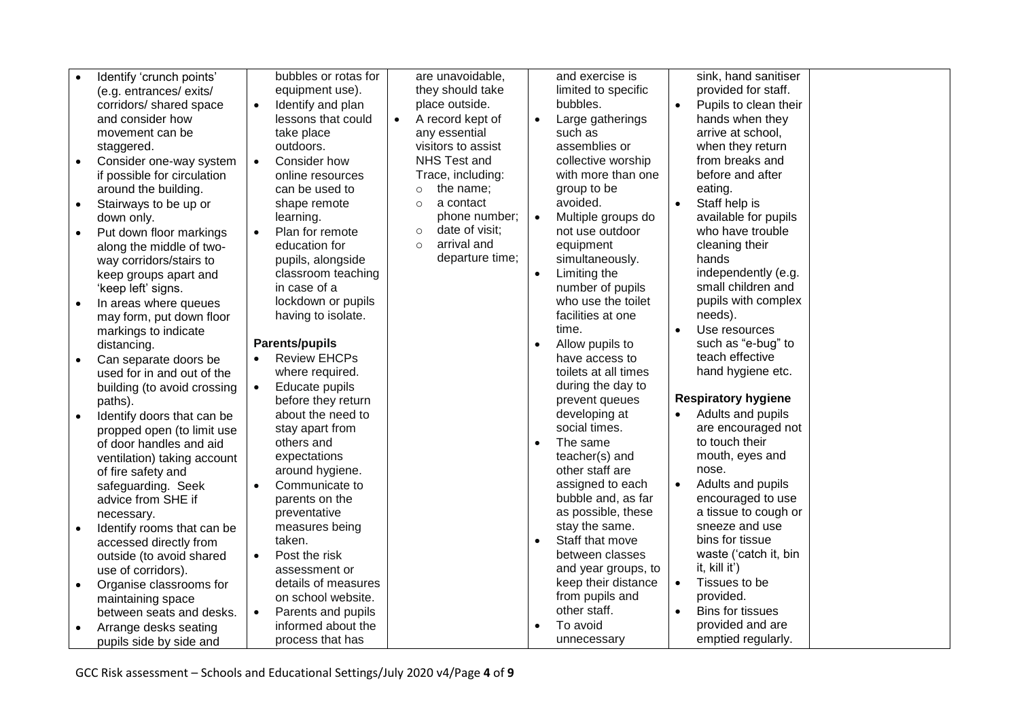|           | Identify 'crunch points'                             | bubbles or rotas for             |           | are unavoidable,          |           | and exercise is                   |           | sink, hand sanitiser       |
|-----------|------------------------------------------------------|----------------------------------|-----------|---------------------------|-----------|-----------------------------------|-----------|----------------------------|
|           | (e.g. entrances/ exits/                              | equipment use).                  |           | they should take          |           | limited to specific               |           | provided for staff.        |
|           | corridors/ shared space                              | Identify and plan<br>$\bullet$   |           | place outside.            |           | bubbles.                          |           | Pupils to clean their      |
|           | and consider how                                     | lessons that could               | $\bullet$ | A record kept of          | $\bullet$ | Large gatherings                  |           | hands when they            |
|           | movement can be                                      | take place                       |           | any essential             |           | such as                           |           | arrive at school,          |
|           | staggered.                                           | outdoors.                        |           | visitors to assist        |           | assemblies or                     |           | when they return           |
| $\bullet$ | Consider one-way system                              | Consider how                     |           | NHS Test and              |           | collective worship                |           | from breaks and            |
|           | if possible for circulation                          | online resources                 |           | Trace, including:         |           | with more than one                |           | before and after           |
|           | around the building.                                 | can be used to                   |           | the name;<br>$\circ$      |           | group to be                       |           | eating.                    |
| $\bullet$ | Stairways to be up or                                | shape remote                     |           | a contact<br>$\circ$      |           | avoided.                          | $\bullet$ | Staff help is              |
|           | down only.                                           | learning.                        |           | phone number;             | $\bullet$ | Multiple groups do                |           | available for pupils       |
| $\bullet$ | Put down floor markings                              | Plan for remote                  |           | date of visit;<br>$\circ$ |           | not use outdoor                   |           | who have trouble           |
|           | along the middle of two-                             | education for                    |           | arrival and<br>$\circ$    |           | equipment                         |           | cleaning their             |
|           | way corridors/stairs to                              | pupils, alongside                |           | departure time;           |           | simultaneously.                   |           | hands                      |
|           | keep groups apart and                                | classroom teaching               |           |                           | $\bullet$ | Limiting the                      |           | independently (e.g.        |
|           | 'keep left' signs.                                   | in case of a                     |           |                           |           | number of pupils                  |           | small children and         |
|           | In areas where queues                                | lockdown or pupils               |           |                           |           | who use the toilet                |           | pupils with complex        |
|           | may form, put down floor                             | having to isolate.               |           |                           |           | facilities at one                 |           | needs).                    |
|           | markings to indicate                                 |                                  |           |                           |           | time.                             |           | Use resources              |
|           | distancing.                                          | <b>Parents/pupils</b>            |           |                           |           | Allow pupils to                   |           | such as "e-bug" to         |
|           | Can separate doors be                                | <b>Review EHCPs</b><br>$\bullet$ |           |                           |           | have access to                    |           | teach effective            |
|           | used for in and out of the                           | where required.                  |           |                           |           | toilets at all times              |           | hand hygiene etc.          |
|           | building (to avoid crossing                          | Educate pupils<br>$\bullet$      |           |                           |           | during the day to                 |           |                            |
|           | paths).                                              | before they return               |           |                           |           | prevent queues                    |           | <b>Respiratory hygiene</b> |
| $\bullet$ | Identify doors that can be                           | about the need to                |           |                           |           | developing at                     |           | Adults and pupils          |
|           | propped open (to limit use                           | stay apart from                  |           |                           |           | social times.                     |           | are encouraged not         |
|           | of door handles and aid                              | others and                       |           |                           | $\bullet$ | The same                          |           | to touch their             |
|           | ventilation) taking account                          | expectations                     |           |                           |           | teacher(s) and<br>other staff are |           | mouth, eyes and<br>nose.   |
|           | of fire safety and                                   | around hygiene.                  |           |                           |           | assigned to each                  |           | Adults and pupils          |
|           | safeguarding. Seek<br>advice from SHE if             | Communicate to<br>parents on the |           |                           |           | bubble and, as far                |           | encouraged to use          |
|           |                                                      | preventative                     |           |                           |           | as possible, these                |           | a tissue to cough or       |
|           | necessary.                                           | measures being                   |           |                           |           | stay the same.                    |           | sneeze and use             |
|           | Identify rooms that can be<br>accessed directly from | taken.                           |           |                           | $\bullet$ | Staff that move                   |           | bins for tissue            |
|           | outside (to avoid shared                             | Post the risk<br>$\bullet$       |           |                           |           | between classes                   |           | waste ('catch it, bin      |
|           | use of corridors).                                   | assessment or                    |           |                           |           | and year groups, to               |           | it, kill it')              |
| $\bullet$ | Organise classrooms for                              | details of measures              |           |                           |           | keep their distance               | $\bullet$ | Tissues to be              |
|           | maintaining space                                    | on school website.               |           |                           |           | from pupils and                   |           | provided.                  |
|           | between seats and desks.                             | Parents and pupils<br>$\bullet$  |           |                           |           | other staff.                      | $\bullet$ | <b>Bins for tissues</b>    |
| $\bullet$ | Arrange desks seating                                | informed about the               |           |                           | $\bullet$ | To avoid                          |           | provided and are           |
|           | pupils side by side and                              | process that has                 |           |                           |           | unnecessary                       |           | emptied regularly.         |
|           |                                                      |                                  |           |                           |           |                                   |           |                            |

GCC Risk assessment – Schools and Educational Settings/July 2020 v4/Page **4** of **9**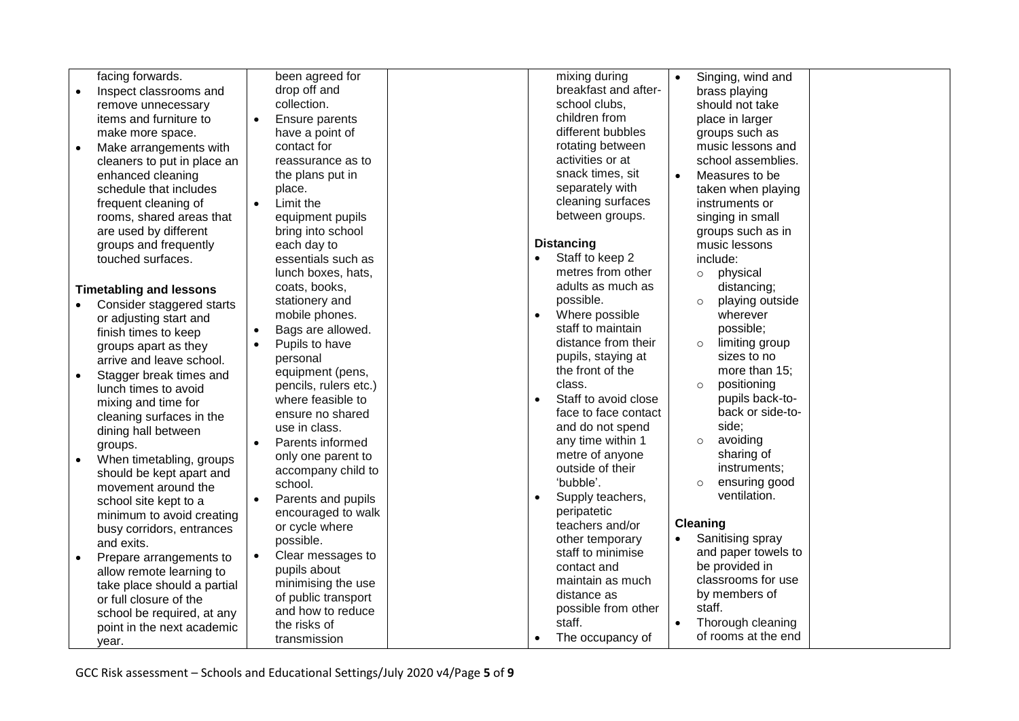| facing forwards.                      | been agreed for                 | mixing during                 | Singing, wind and          |  |
|---------------------------------------|---------------------------------|-------------------------------|----------------------------|--|
| Inspect classrooms and<br>$\bullet$   | drop off and                    | breakfast and after-          | brass playing              |  |
| remove unnecessary                    | collection.                     | school clubs,                 | should not take            |  |
| items and furniture to                | Ensure parents<br>$\bullet$     | children from                 | place in larger            |  |
| make more space.                      | have a point of                 | different bubbles             | groups such as             |  |
| Make arrangements with<br>$\bullet$   | contact for                     | rotating between              | music lessons and          |  |
| cleaners to put in place an           | reassurance as to               | activities or at              | school assemblies.         |  |
| enhanced cleaning                     | the plans put in                | snack times, sit              | Measures to be             |  |
| schedule that includes                | place.                          | separately with               | taken when playing         |  |
| frequent cleaning of                  | Limit the<br>$\bullet$          | cleaning surfaces             | instruments or             |  |
| rooms, shared areas that              | equipment pupils                | between groups.               | singing in small           |  |
| are used by different                 | bring into school               |                               | groups such as in          |  |
| groups and frequently                 | each day to                     | <b>Distancing</b>             | music lessons              |  |
| touched surfaces.                     | essentials such as              | Staff to keep 2               | include:                   |  |
|                                       | lunch boxes, hats,              | metres from other             | physical<br>$\circ$        |  |
| <b>Timetabling and lessons</b>        | coats, books,                   | adults as much as             | distancing;                |  |
| Consider staggered starts             | stationery and                  | possible.                     | playing outside<br>$\circ$ |  |
| or adjusting start and                | mobile phones.                  | Where possible                | wherever                   |  |
| finish times to keep                  | Bags are allowed.               | staff to maintain             | possible;                  |  |
| groups apart as they                  | Pupils to have                  | distance from their           | limiting group<br>$\circ$  |  |
| arrive and leave school.              | personal                        | pupils, staying at            | sizes to no                |  |
| Stagger break times and               | equipment (pens,                | the front of the              | more than 15:              |  |
| lunch times to avoid                  | pencils, rulers etc.)           | class.                        | positioning<br>$\circ$     |  |
| mixing and time for                   | where feasible to               | Staff to avoid close          | pupils back-to-            |  |
| cleaning surfaces in the              | ensure no shared                | face to face contact          | back or side-to-           |  |
| dining hall between                   | use in class.                   | and do not spend              | side:                      |  |
| groups.                               | Parents informed<br>$\bullet$   | any time within 1             | avoiding<br>$\circ$        |  |
| When timetabling, groups<br>$\bullet$ | only one parent to              | metre of anyone               | sharing of                 |  |
| should be kept apart and              | accompany child to              | outside of their              | instruments;               |  |
| movement around the                   | school.                         | 'bubble'.                     | ensuring good<br>$\circ$   |  |
| school site kept to a                 | Parents and pupils<br>$\bullet$ | Supply teachers,              | ventilation.               |  |
| minimum to avoid creating             | encouraged to walk              | peripatetic                   |                            |  |
| busy corridors, entrances             | or cycle where                  | teachers and/or               | Cleaning                   |  |
| and exits.                            | possible.                       | other temporary               | Sanitising spray           |  |
| Prepare arrangements to<br>$\bullet$  | Clear messages to<br>$\bullet$  | staff to minimise             | and paper towels to        |  |
| allow remote learning to              | pupils about                    | contact and                   | be provided in             |  |
| take place should a partial           | minimising the use              | maintain as much              | classrooms for use         |  |
| or full closure of the                | of public transport             | distance as                   | by members of              |  |
| school be required, at any            | and how to reduce               | possible from other           | staff.                     |  |
| point in the next academic            | the risks of                    | staff.                        | Thorough cleaning          |  |
| year.                                 | transmission                    | The occupancy of<br>$\bullet$ | of rooms at the end        |  |
|                                       |                                 |                               |                            |  |

GCC Risk assessment – Schools and Educational Settings/July 2020 v4/Page **5** of **9**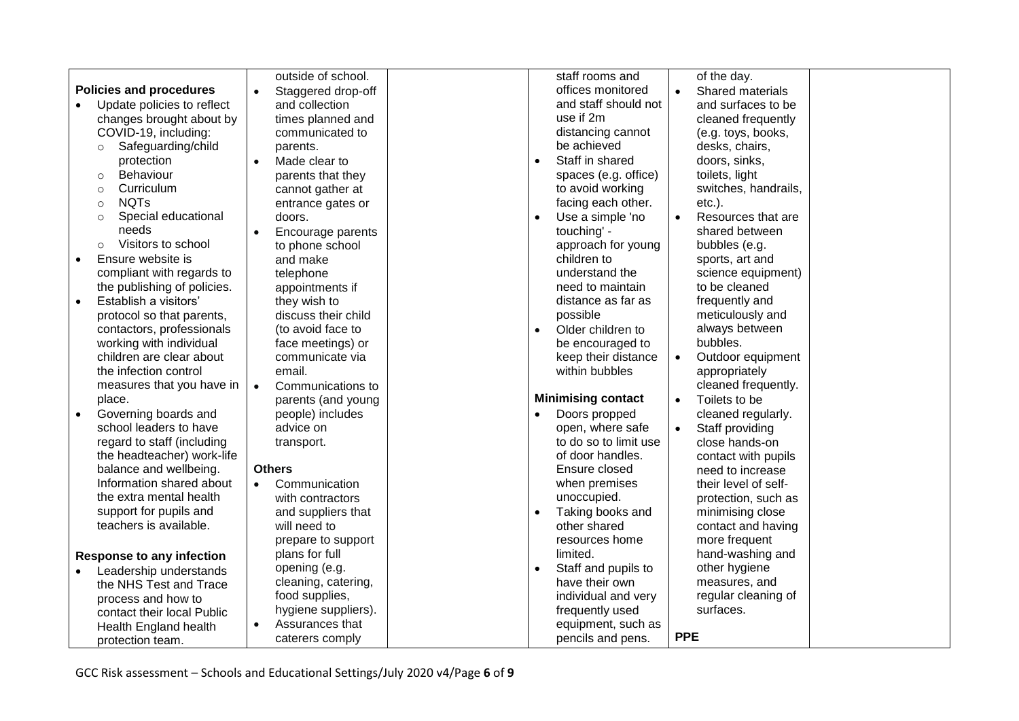|                                    | outside of school.              | staff rooms and<br>of the day.                                   |
|------------------------------------|---------------------------------|------------------------------------------------------------------|
| <b>Policies and procedures</b>     | Staggered drop-off<br>$\bullet$ | offices monitored<br>Shared materials                            |
| Update policies to reflect         | and collection                  | and staff should not<br>and surfaces to be                       |
| changes brought about by           | times planned and               | use if 2m<br>cleaned frequently                                  |
| COVID-19, including:               | communicated to                 | distancing cannot<br>(e.g. toys, books,                          |
| Safeguarding/child<br>$\circ$      | parents.                        | be achieved<br>desks, chairs,                                    |
| protection                         | Made clear to                   | Staff in shared<br>doors, sinks,<br>$\bullet$                    |
| Behaviour<br>$\circ$               | parents that they               | spaces (e.g. office)<br>toilets, light                           |
| Curriculum<br>$\circ$              | cannot gather at                | to avoid working<br>switches, handrails,                         |
| <b>NQTs</b><br>$\circ$             | entrance gates or               | facing each other.<br>$etc.$ ).                                  |
| Special educational<br>$\circ$     | doors.                          | Use a simple 'no<br>Resources that are<br>$\bullet$<br>$\bullet$ |
| needs                              | Encourage parents<br>$\bullet$  | touching' -<br>shared between                                    |
| Visitors to school<br>$\circ$      | to phone school                 | approach for young<br>bubbles (e.g.                              |
| Ensure website is<br>$\bullet$     | and make                        | children to<br>sports, art and                                   |
| compliant with regards to          | telephone                       | understand the<br>science equipment)                             |
| the publishing of policies.        | appointments if                 | need to maintain<br>to be cleaned                                |
| Establish a visitors'<br>$\bullet$ | they wish to                    | frequently and<br>distance as far as                             |
| protocol so that parents,          | discuss their child             | possible<br>meticulously and                                     |
| contactors, professionals          | (to avoid face to               | always between<br>Older children to<br>$\bullet$                 |
| working with individual            | face meetings) or               | bubbles.<br>be encouraged to                                     |
| children are clear about           | communicate via                 | keep their distance<br>Outdoor equipment<br>$\bullet$            |
| the infection control              | email.                          | within bubbles<br>appropriately                                  |
| measures that you have in          | Communications to<br>$\bullet$  | cleaned frequently.                                              |
| place.                             | parents (and young              | <b>Minimising contact</b><br>Toilets to be<br>$\bullet$          |
| Governing boards and<br>$\bullet$  | people) includes                | Doors propped<br>cleaned regularly.<br>$\bullet$                 |
| school leaders to have             | advice on                       | open, where safe<br>Staff providing                              |
| regard to staff (including         | transport.                      | to do so to limit use<br>close hands-on                          |
| the headteacher) work-life         |                                 | of door handles.<br>contact with pupils                          |
| balance and wellbeing.             | <b>Others</b>                   | Ensure closed<br>need to increase                                |
| Information shared about           | Communication<br>$\bullet$      | when premises<br>their level of self-                            |
| the extra mental health            | with contractors                | unoccupied.<br>protection, such as                               |
| support for pupils and             | and suppliers that              | Taking books and<br>minimising close<br>$\bullet$                |
| teachers is available.             | will need to                    | other shared<br>contact and having                               |
|                                    | prepare to support              | resources home<br>more frequent                                  |
| <b>Response to any infection</b>   | plans for full                  | limited.<br>hand-washing and                                     |
| Leadership understands             | opening (e.g.                   | other hygiene<br>Staff and pupils to<br>$\bullet$                |
| the NHS Test and Trace             | cleaning, catering,             | measures, and<br>have their own                                  |
| process and how to                 | food supplies,                  | regular cleaning of<br>individual and very                       |
| contact their local Public         | hygiene suppliers).             | surfaces.<br>frequently used                                     |
| Health England health              | Assurances that<br>$\bullet$    | equipment, such as                                               |
| protection team.                   | caterers comply                 | <b>PPE</b><br>pencils and pens.                                  |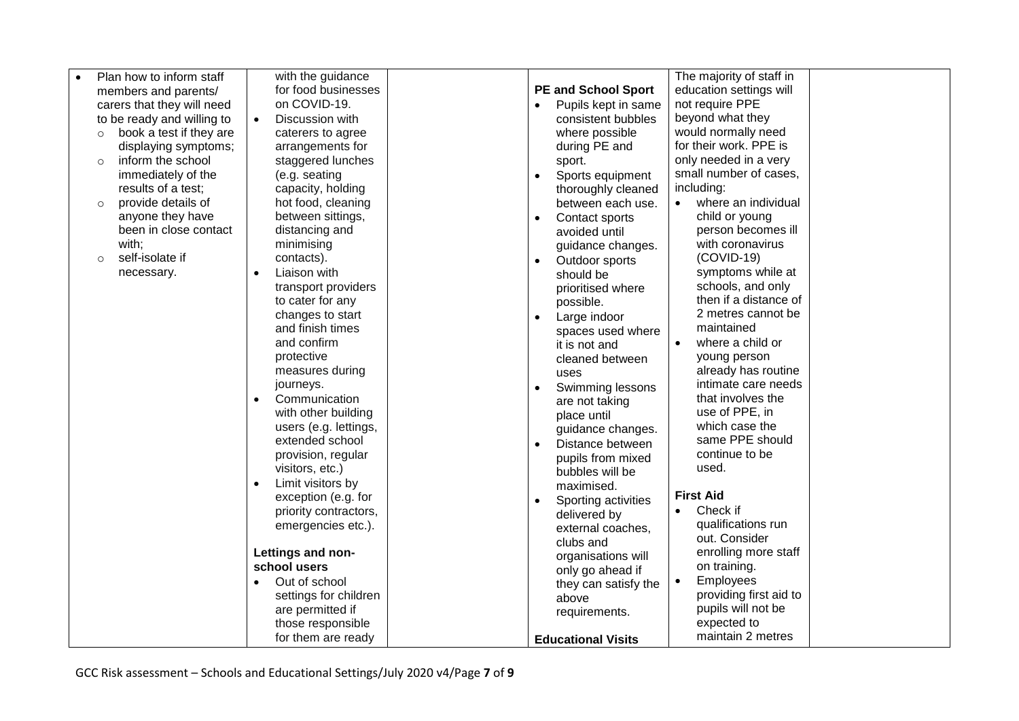| Plan how to inform staff           | with the guidance              |                                   | The majority of staff in            |  |
|------------------------------------|--------------------------------|-----------------------------------|-------------------------------------|--|
| members and parents/               | for food businesses            | <b>PE and School Sport</b>        | education settings will             |  |
| carers that they will need         | on COVID-19.                   | Pupils kept in same               | not require PPE                     |  |
| to be ready and willing to         | Discussion with<br>$\bullet$   | consistent bubbles                | beyond what they                    |  |
| book a test if they are<br>$\circ$ | caterers to agree              | where possible                    | would normally need                 |  |
| displaying symptoms;               | arrangements for               | during PE and                     | for their work. PPE is              |  |
| inform the school<br>$\circ$       | staggered lunches              | sport.                            | only needed in a very               |  |
| immediately of the                 | (e.g. seating                  | Sports equipment                  | small number of cases,              |  |
| results of a test;                 | capacity, holding              | thoroughly cleaned                | including:                          |  |
| provide details of<br>$\circ$      | hot food, cleaning             | between each use.                 | where an individual<br>$\bullet$    |  |
| anyone they have                   | between sittings,              | Contact sports<br>$\bullet$       | child or young                      |  |
| been in close contact              | distancing and                 | avoided until                     | person becomes ill                  |  |
| with;                              | minimising                     | guidance changes.                 | with coronavirus                    |  |
| self-isolate if<br>$\circ$         | contacts).                     | Outdoor sports                    | $(COVID-19)$                        |  |
| necessary.                         | Liaison with<br>$\bullet$      | should be                         | symptoms while at                   |  |
|                                    | transport providers            | prioritised where                 | schools, and only                   |  |
|                                    | to cater for any               | possible.                         | then if a distance of               |  |
|                                    | changes to start               | Large indoor<br>$\bullet$         | 2 metres cannot be                  |  |
|                                    | and finish times               | spaces used where                 | maintained                          |  |
|                                    | and confirm                    | it is not and                     | where a child or<br>$\bullet$       |  |
|                                    | protective<br>measures during  | cleaned between                   | young person<br>already has routine |  |
|                                    | journeys.                      | uses                              | intimate care needs                 |  |
|                                    | Communication<br>$\bullet$     | Swimming lessons<br>$\bullet$     | that involves the                   |  |
|                                    | with other building            | are not taking                    | use of PPE, in                      |  |
|                                    | users (e.g. lettings,          | place until                       | which case the                      |  |
|                                    | extended school                | guidance changes.                 | same PPE should                     |  |
|                                    | provision, regular             | Distance between                  | continue to be                      |  |
|                                    | visitors, etc.)                | pupils from mixed                 | used.                               |  |
|                                    | Limit visitors by<br>$\bullet$ | bubbles will be<br>maximised.     |                                     |  |
|                                    | exception (e.g. for            |                                   | <b>First Aid</b>                    |  |
|                                    | priority contractors,          | Sporting activities               | Check if                            |  |
|                                    | emergencies etc.).             | delivered by<br>external coaches, | qualifications run                  |  |
|                                    |                                | clubs and                         | out. Consider                       |  |
|                                    | Lettings and non-              | organisations will                | enrolling more staff                |  |
|                                    | school users                   | only go ahead if                  | on training.                        |  |
|                                    | Out of school<br>$\bullet$     | they can satisfy the              | <b>Employees</b><br>$\bullet$       |  |
|                                    | settings for children          | above                             | providing first aid to              |  |
|                                    | are permitted if               | requirements.                     | pupils will not be                  |  |
|                                    | those responsible              |                                   | expected to                         |  |
|                                    | for them are ready             | <b>Educational Visits</b>         | maintain 2 metres                   |  |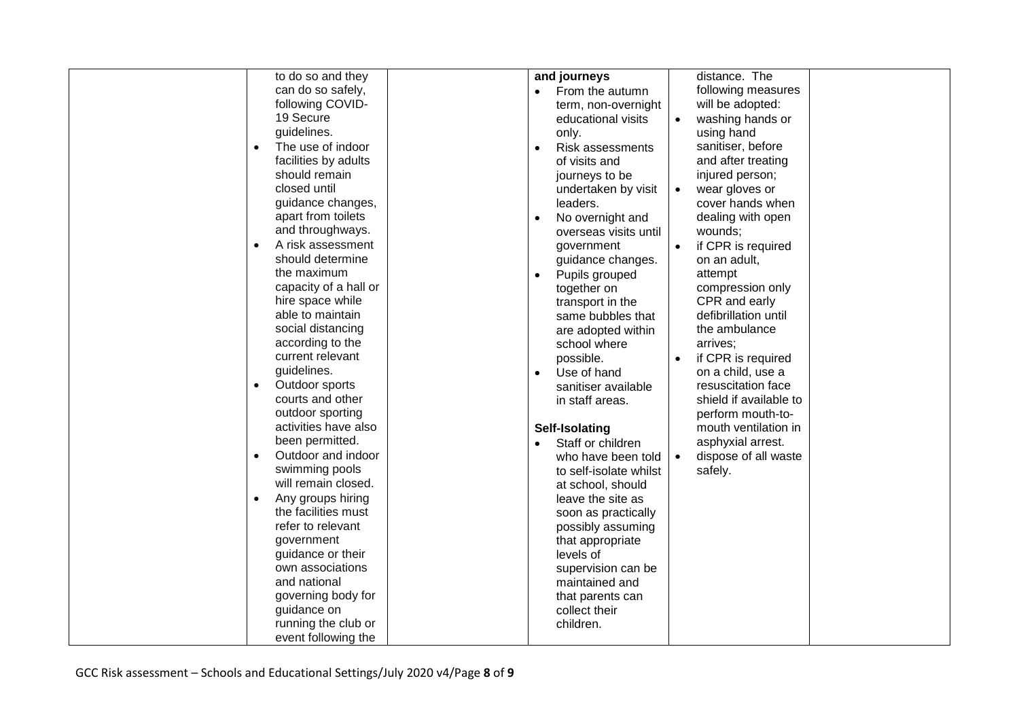| to do so and they               |                               | distance. The                     |
|---------------------------------|-------------------------------|-----------------------------------|
|                                 | and journeys                  |                                   |
| can do so safely,               | From the autumn               | following measures                |
| following COVID-                | term, non-overnight           | will be adopted:                  |
| 19 Secure                       | educational visits            | washing hands or                  |
| guidelines.                     | only.                         | using hand                        |
| The use of indoor<br>$\bullet$  | Risk assessments<br>$\bullet$ | sanitiser, before                 |
| facilities by adults            | of visits and                 | and after treating                |
| should remain                   | journeys to be                | injured person;                   |
| closed until                    | undertaken by visit           | wear gloves or<br>$\bullet$       |
| guidance changes,               | leaders.                      | cover hands when                  |
| apart from toilets              | No overnight and              | dealing with open                 |
| and throughways.                | overseas visits until         | wounds;                           |
| A risk assessment<br>$\bullet$  | government                    | if CPR is required<br>$\bullet$   |
| should determine                | guidance changes.             | on an adult,                      |
| the maximum                     | Pupils grouped                | attempt                           |
| capacity of a hall or           | together on                   | compression only                  |
| hire space while                |                               | CPR and early                     |
| able to maintain                | transport in the              | defibrillation until              |
| social distancing               | same bubbles that             | the ambulance                     |
|                                 | are adopted within            |                                   |
| according to the                | school where                  | arrives;                          |
| current relevant                | possible.                     | if CPR is required                |
| guidelines.                     | Use of hand                   | on a child, use a                 |
| Outdoor sports<br>$\bullet$     | sanitiser available           | resuscitation face                |
| courts and other                | in staff areas.               | shield if available to            |
| outdoor sporting                |                               | perform mouth-to-                 |
| activities have also            | Self-Isolating                | mouth ventilation in              |
| been permitted.                 | Staff or children             | asphyxial arrest.                 |
| Outdoor and indoor<br>$\bullet$ | who have been told            | dispose of all waste<br>$\bullet$ |
| swimming pools                  | to self-isolate whilst        | safely.                           |
| will remain closed.             | at school, should             |                                   |
| Any groups hiring               | leave the site as             |                                   |
| the facilities must             | soon as practically           |                                   |
| refer to relevant               | possibly assuming             |                                   |
| government                      | that appropriate              |                                   |
| guidance or their               | levels of                     |                                   |
| own associations                | supervision can be            |                                   |
| and national                    | maintained and                |                                   |
| governing body for              | that parents can              |                                   |
| guidance on                     | collect their                 |                                   |
| running the club or             | children.                     |                                   |
| event following the             |                               |                                   |
|                                 |                               |                                   |